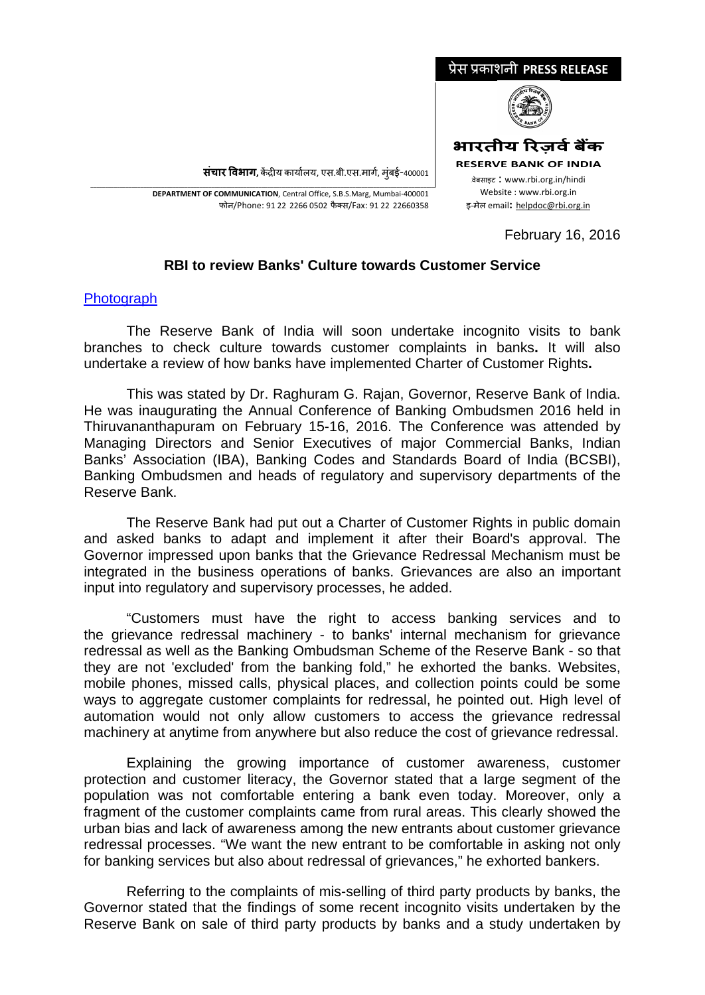

**संचार �वभाग,** क�द्र�य कायार्लय, एस.बी.एस.मागर्, मुंबई-400001

\_\_\_\_\_\_\_\_\_\_\_\_\_\_\_\_\_\_\_\_\_\_\_\_\_\_\_\_\_\_\_\_\_\_\_\_\_\_\_\_\_\_\_\_\_\_\_\_\_\_\_\_\_\_\_\_\_\_\_\_\_\_\_\_\_\_\_\_\_\_\_\_\_\_\_\_\_\_\_\_\_\_\_\_\_\_\_\_\_\_\_\_\_\_\_\_\_\_\_\_\_\_\_\_\_\_\_\_\_\_\_\_\_\_\_\_\_ **DEPARTMENT OF COMMUNICATION**, Central Office, S.B.S.Marg, Mumbai-400001 फोन/Phone: 91 22 2266 0502 फै क्स/Fax: 91 22 22660358

February 16, 2016

## **RBI to review Banks' Culture towards Customer Service**

## **[Photograph](https://rbi.org.in/Scripts/bs_viewcontent.aspx?Id=3139)**

The Reserve Bank of India will soon undertake incognito visits to bank branches to check culture towards customer complaints in banks**.** It will also undertake a review of how banks have implemented Charter of Customer Rights**.**

This was stated by Dr. Raghuram G. Rajan, Governor, Reserve Bank of India. He was inaugurating the Annual Conference of Banking Ombudsmen 2016 held in Thiruvananthapuram on February 15-16, 2016. The Conference was attended by Managing Directors and Senior Executives of major Commercial Banks, Indian Banks' Association (IBA), Banking Codes and Standards Board of India (BCSBI), Banking Ombudsmen and heads of regulatory and supervisory departments of the Reserve Bank.

The Reserve Bank had put out a Charter of Customer Rights in public domain and asked banks to adapt and implement it after their Board's approval. The Governor impressed upon banks that the Grievance Redressal Mechanism must be integrated in the business operations of banks. Grievances are also an important input into regulatory and supervisory processes, he added.

"Customers must have the right to access banking services and to the grievance redressal machinery - to banks' internal mechanism for grievance redressal as well as the Banking Ombudsman Scheme of the Reserve Bank - so that they are not 'excluded' from the banking fold," he exhorted the banks. Websites, mobile phones, missed calls, physical places, and collection points could be some ways to aggregate customer complaints for redressal, he pointed out. High level of automation would not only allow customers to access the grievance redressal machinery at anytime from anywhere but also reduce the cost of grievance redressal.

Explaining the growing importance of customer awareness, customer protection and customer literacy, the Governor stated that a large segment of the population was not comfortable entering a bank even today. Moreover, only a fragment of the customer complaints came from rural areas. This clearly showed the urban bias and lack of awareness among the new entrants about customer grievance redressal processes. "We want the new entrant to be comfortable in asking not only for banking services but also about redressal of grievances," he exhorted bankers.

Referring to the complaints of mis-selling of third party products by banks, the Governor stated that the findings of some recent incognito visits undertaken by the Reserve Bank on sale of third party products by banks and a study undertaken by